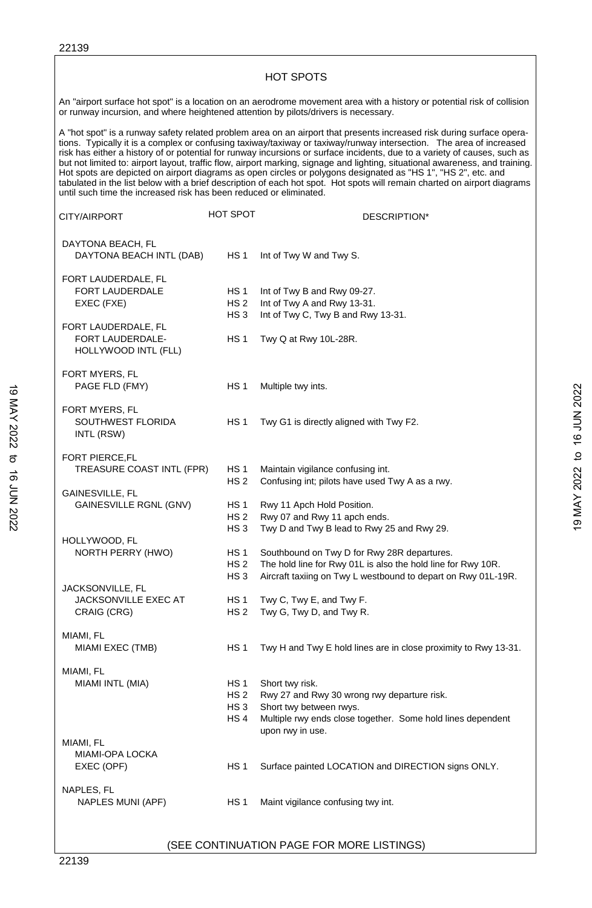|                                                                                     |                                    | <b>HOT SPOTS</b>                                                                                                                                                                                                                                                                                                                                                                                                                                                                                                                                                                                                                                                                                                                                        |
|-------------------------------------------------------------------------------------|------------------------------------|---------------------------------------------------------------------------------------------------------------------------------------------------------------------------------------------------------------------------------------------------------------------------------------------------------------------------------------------------------------------------------------------------------------------------------------------------------------------------------------------------------------------------------------------------------------------------------------------------------------------------------------------------------------------------------------------------------------------------------------------------------|
| or runway incursion, and where heightened attention by pilots/drivers is necessary. |                                    | An "airport surface hot spot" is a location on an aerodrome movement area with a history or potential risk of collision                                                                                                                                                                                                                                                                                                                                                                                                                                                                                                                                                                                                                                 |
| until such time the increased risk has been reduced or eliminated.                  |                                    | A "hot spot" is a runway safety related problem area on an airport that presents increased risk during surface opera-<br>tions. Typically it is a complex or confusing taxiway/taxiway or taxiway/runway intersection. The area of increased<br>risk has either a history of or potential for runway incursions or surface incidents, due to a variety of causes, such as<br>but not limited to: airport layout, traffic flow, airport marking, signage and lighting, situational awareness, and training.<br>Hot spots are depicted on airport diagrams as open circles or polygons designated as "HS 1", "HS 2", etc. and<br>tabulated in the list below with a brief description of each hot spot. Hot spots will remain charted on airport diagrams |
| CITY/AIRPORT                                                                        | <b>HOT SPOT</b>                    | DESCRIPTION*                                                                                                                                                                                                                                                                                                                                                                                                                                                                                                                                                                                                                                                                                                                                            |
| DAYTONA BEACH, FL<br>DAYTONA BEACH INTL (DAB)                                       | HS <sub>1</sub>                    | Int of Twy W and Twy S.                                                                                                                                                                                                                                                                                                                                                                                                                                                                                                                                                                                                                                                                                                                                 |
| FORT LAUDERDALE, FL                                                                 |                                    |                                                                                                                                                                                                                                                                                                                                                                                                                                                                                                                                                                                                                                                                                                                                                         |
| FORT LAUDERDALE                                                                     | HS <sub>1</sub>                    | Int of Twy B and Rwy 09-27.                                                                                                                                                                                                                                                                                                                                                                                                                                                                                                                                                                                                                                                                                                                             |
| EXEC (FXE)                                                                          | HS <sub>2</sub>                    | Int of Twy A and Rwy 13-31.                                                                                                                                                                                                                                                                                                                                                                                                                                                                                                                                                                                                                                                                                                                             |
|                                                                                     | HS <sub>3</sub>                    | Int of Twy C, Twy B and Rwy 13-31.                                                                                                                                                                                                                                                                                                                                                                                                                                                                                                                                                                                                                                                                                                                      |
| FORT LAUDERDALE, FL<br>FORT LAUDERDALE-<br>HOLLYWOOD INTL (FLL)                     | HS <sub>1</sub>                    | Twy Q at Rwy 10L-28R.                                                                                                                                                                                                                                                                                                                                                                                                                                                                                                                                                                                                                                                                                                                                   |
|                                                                                     |                                    |                                                                                                                                                                                                                                                                                                                                                                                                                                                                                                                                                                                                                                                                                                                                                         |
| FORT MYERS, FL<br>PAGE FLD (FMY)                                                    | HS <sub>1</sub>                    | Multiple twy ints.                                                                                                                                                                                                                                                                                                                                                                                                                                                                                                                                                                                                                                                                                                                                      |
| FORT MYERS, FL                                                                      |                                    |                                                                                                                                                                                                                                                                                                                                                                                                                                                                                                                                                                                                                                                                                                                                                         |
| SOUTHWEST FLORIDA<br>INTL (RSW)                                                     | HS <sub>1</sub>                    | Twy G1 is directly aligned with Twy F2.                                                                                                                                                                                                                                                                                                                                                                                                                                                                                                                                                                                                                                                                                                                 |
| <b>FORT PIERCE,FL</b>                                                               |                                    |                                                                                                                                                                                                                                                                                                                                                                                                                                                                                                                                                                                                                                                                                                                                                         |
| TREASURE COAST INTL (FPR)                                                           | HS 1<br>HS <sub>2</sub>            | Maintain vigilance confusing int.<br>Confusing int; pilots have used Twy A as a rwy.                                                                                                                                                                                                                                                                                                                                                                                                                                                                                                                                                                                                                                                                    |
| GAINESVILLE, FL                                                                     |                                    |                                                                                                                                                                                                                                                                                                                                                                                                                                                                                                                                                                                                                                                                                                                                                         |
| GAINESVILLE RGNL (GNV)                                                              | HS <sub>1</sub><br>HS 2            | Rwy 11 Apch Hold Position.<br>Rwy 07 and Rwy 11 apch ends.                                                                                                                                                                                                                                                                                                                                                                                                                                                                                                                                                                                                                                                                                              |
| HOLLYWOOD, FL                                                                       | HS <sub>3</sub>                    | Twy D and Twy B lead to Rwy 25 and Rwy 29.                                                                                                                                                                                                                                                                                                                                                                                                                                                                                                                                                                                                                                                                                                              |
| NORTH PERRY (HWO)                                                                   | HS <sub>1</sub><br>HS <sub>2</sub> | Southbound on Twy D for Rwy 28R departures.<br>The hold line for Rwy 01L is also the hold line for Rwy 10R.                                                                                                                                                                                                                                                                                                                                                                                                                                                                                                                                                                                                                                             |
|                                                                                     | HS <sub>3</sub>                    | Aircraft taxiing on Twy L westbound to depart on Rwy 01L-19R.                                                                                                                                                                                                                                                                                                                                                                                                                                                                                                                                                                                                                                                                                           |
| JACKSONVILLE, FL<br>JACKSONVILLE EXEC AT                                            | HS <sub>1</sub>                    | Twy C, Twy E, and Twy F.                                                                                                                                                                                                                                                                                                                                                                                                                                                                                                                                                                                                                                                                                                                                |
| CRAIG (CRG)                                                                         | HS <sub>2</sub>                    | Twy G, Twy D, and Twy R.                                                                                                                                                                                                                                                                                                                                                                                                                                                                                                                                                                                                                                                                                                                                |
| MIAMI, FL                                                                           |                                    |                                                                                                                                                                                                                                                                                                                                                                                                                                                                                                                                                                                                                                                                                                                                                         |
| MIAMI EXEC (TMB)                                                                    | HS <sub>1</sub>                    | Twy H and Twy E hold lines are in close proximity to Rwy 13-31.                                                                                                                                                                                                                                                                                                                                                                                                                                                                                                                                                                                                                                                                                         |
| MIAMI, FL                                                                           |                                    |                                                                                                                                                                                                                                                                                                                                                                                                                                                                                                                                                                                                                                                                                                                                                         |
| MIAMI INTL (MIA)                                                                    | HS 1                               | Short twy risk.                                                                                                                                                                                                                                                                                                                                                                                                                                                                                                                                                                                                                                                                                                                                         |
|                                                                                     | HS <sub>2</sub>                    | Rwy 27 and Rwy 30 wrong rwy departure risk.                                                                                                                                                                                                                                                                                                                                                                                                                                                                                                                                                                                                                                                                                                             |
|                                                                                     | HS <sub>3</sub><br>HS <sub>4</sub> | Short twy between rwys.<br>Multiple rwy ends close together. Some hold lines dependent<br>upon rwy in use.                                                                                                                                                                                                                                                                                                                                                                                                                                                                                                                                                                                                                                              |
| MIAMI, FL<br>MIAMI-OPA LOCKA                                                        |                                    |                                                                                                                                                                                                                                                                                                                                                                                                                                                                                                                                                                                                                                                                                                                                                         |
| EXEC (OPF)                                                                          | HS <sub>1</sub>                    | Surface painted LOCATION and DIRECTION signs ONLY.                                                                                                                                                                                                                                                                                                                                                                                                                                                                                                                                                                                                                                                                                                      |
| NAPLES, FL<br>NAPLES MUNI (APF)                                                     | HS <sub>1</sub>                    | Maint vigilance confusing twy int.                                                                                                                                                                                                                                                                                                                                                                                                                                                                                                                                                                                                                                                                                                                      |
|                                                                                     |                                    |                                                                                                                                                                                                                                                                                                                                                                                                                                                                                                                                                                                                                                                                                                                                                         |

٦